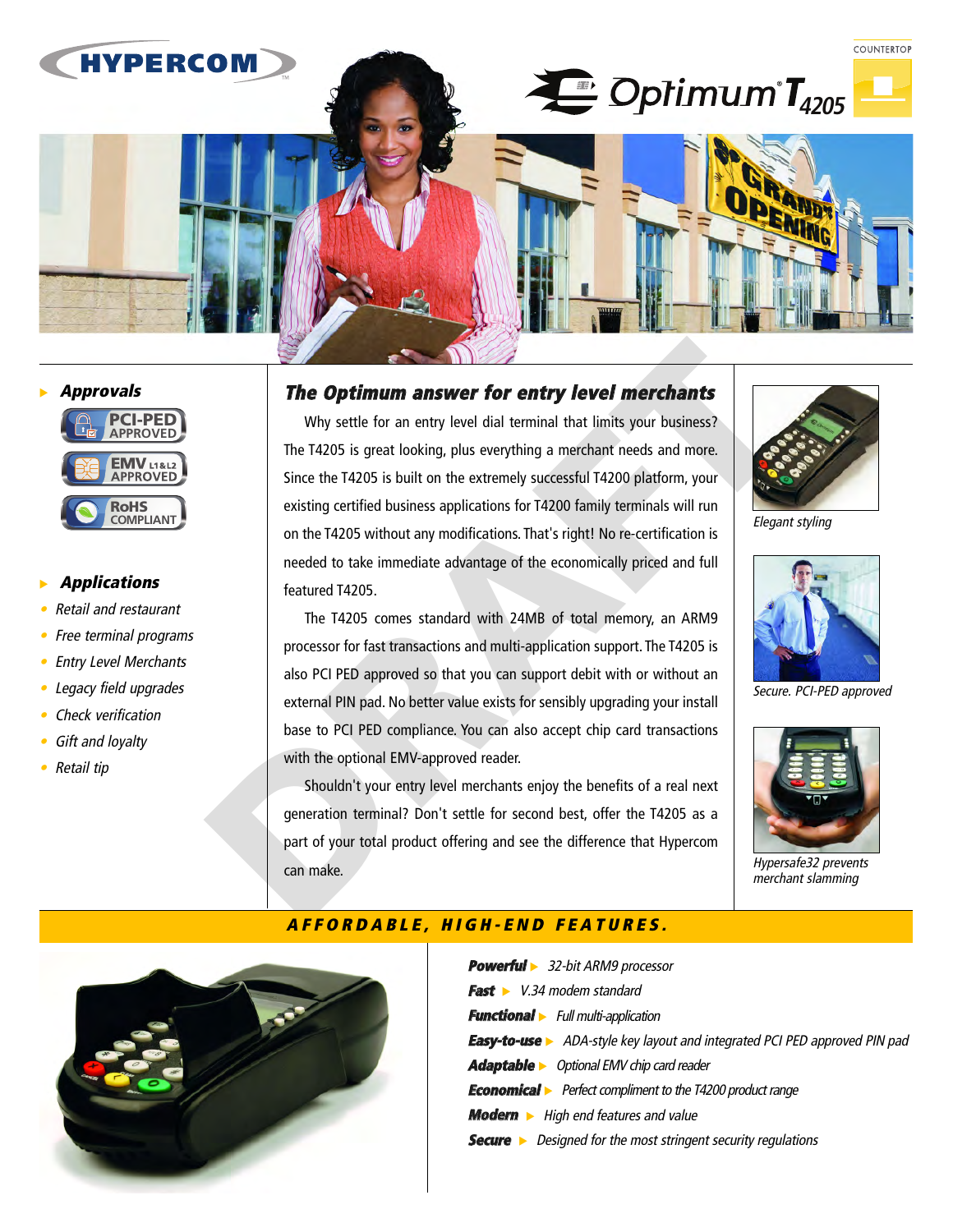

# **PTS Approvals**



# **RepLications**

- •**•** Retail and restaurant
- •Free terminal programs
- •Entry Level Merchants
- •Legacy field upgrades
- •Check verification
- •Gift and loyalty
- Retail tip

### **The Optimum answer for entry level merchants**

**AFFORDABLE, HIGH-END FEATURES.**<br>AFFORDABLE, **AFFORDABLE, HIGH-END FORDABLE,**<br>AFFORDABLE, **AFFORDABLE, HIGH-END FRAFT**<br>
AFFORDABLE.<br> **AFFORDABLE, HIGH-END FRAFT**<br>
AFFORDABLE.<br> **AFFORDABLE, HIGH-FIALS FORDABLE, HIGH-FIALS** Why settle for an entry level dial terminal that limits your business? The T4205 is great looking, plus everything a merchant needs and more. Since the T4205 is built on the extremely successful T4200 platform, your existing certified business applications for T4200 family terminals will run Existing certified business applications for 14200 failing terminals will full<br>on the T4205 without any modifications. That's right! No re-certification is needed to take immediate advantage of the economically priced and full<br>**INTERACT** featured T4205. **RoHS**

The T4205 comes standard with 24MB of total memory, an ARM9 processor for fast transactions and multi-application support. The T4205 is also PCI PED approved so that you can support debit with or without an external PIN pad. No better value exists for sensibly upgrading your install base to PCI PED compliance. You can also accept chip card transactions with the optional EMV-approved reader.

Shouldn't your entry level merchants enjoy the benefits of a real next generation terminal? Don't settle for second best, offer the T4205 as a part of your total product offering and see the difference that Hypercom can make.



Elegant styling



Secure. PCI-PED approved



Hypersafe32 prevents merchant slamming



| <b>Powerful</b> > 32-bit ARM9 processor                                           |
|-----------------------------------------------------------------------------------|
| <b>Fast</b> $\triangleright$ V.34 modem standard                                  |
| <b>Functional</b> Full multi-application                                          |
| <b>Easy-to-use</b> > ADA-style key layout and integrated PCI PED approved PIN pad |
| <b>Adaptable</b> > Optional EMV chip card reader                                  |
| <b>Economical</b> Perfect compliment to the T4200 product range                   |
| <b>Modern</b> • High end features and value                                       |
| <b>Secure</b> > Designed for the most stringent security regulations              |
|                                                                                   |